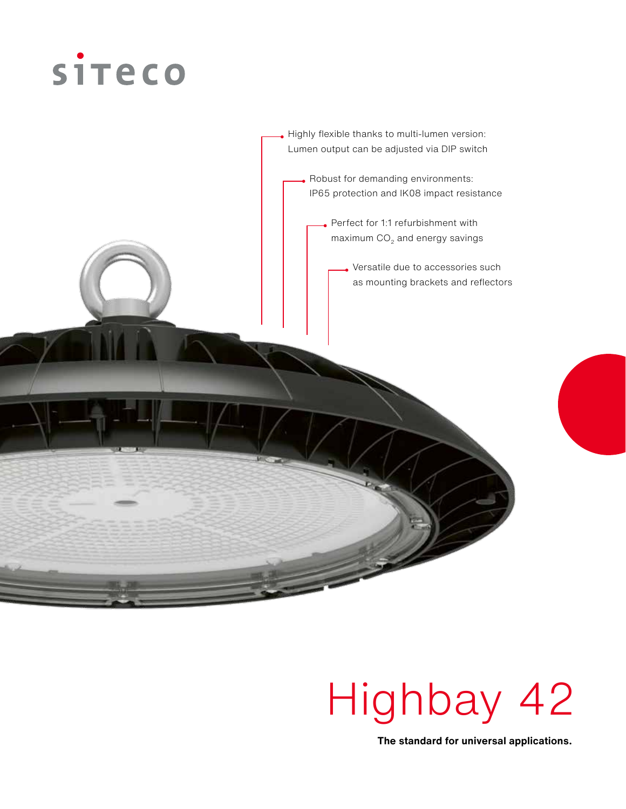

. Robust for demanding environments: IP65 protection and IK08 impact resistance Highly flexible thanks to multi-lumen version: Lumen output can be adjusted via DIP switch Perfect for 1:1 refurbishment with maximum  $CO<sub>2</sub>$  and energy savings Versatile due to accessories such as mounting brackets and reflectors

# Highbay 42

**The standard for universal applications.**